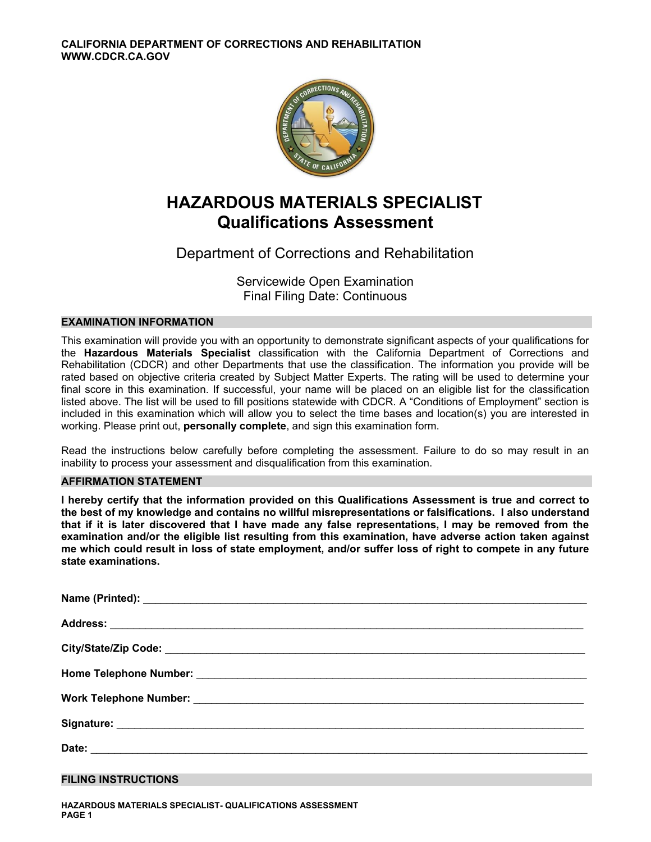

# **HAZARDOUS MATERIALS SPECIALIST Qualifications Assessment**

# Department of Corrections and Rehabilitation

Servicewide Open Examination Final Filing Date: Continuous

# **EXAMINATION INFORMATION**

This examination will provide you with an opportunity to demonstrate significant aspects of your qualifications for the **Hazardous Materials Specialist** classification with the California Department of Corrections and Rehabilitation (CDCR) and other Departments that use the classification. The information you provide will be rated based on objective criteria created by Subject Matter Experts. The rating will be used to determine your final score in this examination. If successful, your name will be placed on an eligible list for the classification listed above. The list will be used to fill positions statewide with CDCR. A "Conditions of Employment" section is included in this examination which will allow you to select the time bases and location(s) you are interested in working. Please print out, **personally complete**, and sign this examination form.

Read the instructions below carefully before completing the assessment. Failure to do so may result in an inability to process your assessment and disqualification from this examination.

# **AFFIRMATION STATEMENT**

**I hereby certify that the information provided on this Qualifications Assessment is true and correct to the best of my knowledge and contains no willful misrepresentations or falsifications. I also understand that if it is later discovered that I have made any false representations, I may be removed from the examination and/or the eligible list resulting from this examination, have adverse action taken against me which could result in loss of state employment, and/or suffer loss of right to compete in any future state examinations.** 

# **FILING INSTRUCTIONS**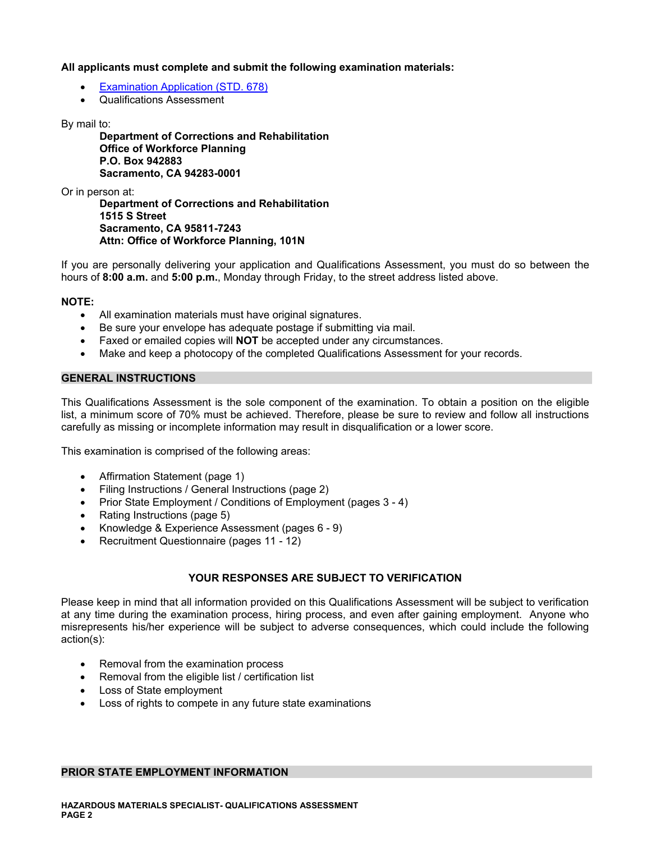# **All applicants must complete and submit the following examination materials:**

- [Examination Application \(STD. 678\)](https://jobs.ca.gov/pdf/STD678.pdf)
- Qualifications Assessment

By mail to:

**Department of Corrections and Rehabilitation Office of Workforce Planning P.O. Box 942883 Sacramento, CA 94283-0001** 

Or in person at:

**Department of Corrections and Rehabilitation 1515 S Street Sacramento, CA 95811-7243 Attn: Office of Workforce Planning, 101N** 

If you are personally delivering your application and Qualifications Assessment, you must do so between the hours of **8:00 a.m.** and **5:00 p.m.**, Monday through Friday, to the street address listed above.

# **NOTE:**

- All examination materials must have original signatures.
- Be sure your envelope has adequate postage if submitting via mail.
- Faxed or emailed copies will **NOT** be accepted under any circumstances.
- Make and keep a photocopy of the completed Qualifications Assessment for your records.

# **GENERAL INSTRUCTIONS**

This Qualifications Assessment is the sole component of the examination. To obtain a position on the eligible list, a minimum score of 70% must be achieved. Therefore, please be sure to review and follow all instructions carefully as missing or incomplete information may result in disqualification or a lower score.

This examination is comprised of the following areas:

- Affirmation Statement (page 1)
- Filing Instructions / General Instructions (page 2)
- Prior State Employment / Conditions of Employment (pages 3 4)
- Rating Instructions (page 5)
- Knowledge & Experience Assessment (pages 6 9)
- Recruitment Questionnaire (pages 11 12)

# **YOUR RESPONSES ARE SUBJECT TO VERIFICATION**

Please keep in mind that all information provided on this Qualifications Assessment will be subject to verification at any time during the examination process, hiring process, and even after gaining employment. Anyone who misrepresents his/her experience will be subject to adverse consequences, which could include the following action(s):

- Removal from the examination process
- Removal from the eligible list / certification list
- Loss of State employment
- Loss of rights to compete in any future state examinations

# **PRIOR STATE EMPLOYMENT INFORMATION**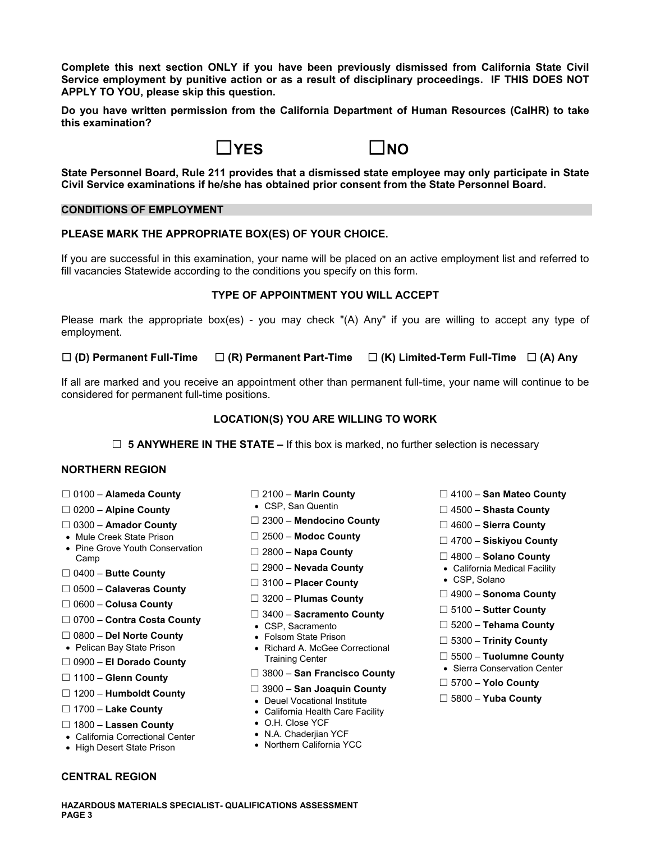**Complete this next section ONLY if you have been previously dismissed from California State Civil Service employment by punitive action or as a result of disciplinary proceedings. IF THIS DOES NOT APPLY TO YOU, please skip this question.** 

**Do you have written permission from the California Department of Human Resources (CalHR) to take this examination?** 



**State Personnel Board, Rule 211 provides that a dismissed state employee may only participate in State Civil Service examinations if he/she has obtained prior consent from the State Personnel Board.** 

# **CONDITIONS OF EMPLOYMENT**

# **PLEASE MARK THE APPROPRIATE BOX(ES) OF YOUR CHOICE.**

If you are successful in this examination, your name will be placed on an active employment list and referred to fill vacancies Statewide according to the conditions you specify on this form.

# **TYPE OF APPOINTMENT YOU WILL ACCEPT**

Please mark the appropriate box(es) - you may check "(A) Any" if you are willing to accept any type of employment.

☐ **(D) Permanent Full-Time** ☐ **(R) Permanent Part-Time** ☐ **(K) Limited-Term Full-Time** ☐ **(A) Any** 

If all are marked and you receive an appointment other than permanent full-time, your name will continue to be considered for permanent full-time positions.

# **LOCATION(S) YOU ARE WILLING TO WORK**

□ **5 ANYWHERE IN THE STATE –** If this box is marked, no further selection is necessary

# **NORTHERN REGION**

- 
- ☐ CSP, San Quentin 0200 **Alpine County**  ☐ 4500 **Shasta County**
- 
- 
- Mule Creek State Prison ☐ 2500 **Modoc County** ☐ 4700 **Siskiyou County**  Pine Grove Youth Conservation ☐ 2800 **Napa County** Camp ☐ 4800 **Solano County**
- 
- ☐ **Placer County**  CSP, Solano 3100 ☐ 0500 **Calaveras County**
- ☐ 0600 **Colusa County**
- ☐ 0700 **Contra Costa County**  CSP, Sacramento ☐ 5200 **Tehama County**
- 
- 
- 
- 
- 
- 
- ☐ 1800 **Lassen County**  O.H. Close YCF
- California Correctional Center N.A. Chaderjian YCF
- High Desert State Prison
- 
- 
- ☐ 2300 **Mendocino County** 0300 **Amador County** ☐ ☐ 4600 **Sierra County** 
	-
	-
	-
	-
	-
	-
	-
	-
- ☐ 0800 **Del Norte County**  Folsom State Prison ☐ 5300 **Trinity County**  Pelican Bay State Prison Richard A. McGee Correctional
- ☐ 0900 **El Dorado County** Training Center ☐ 5500 **Tuolumne County**  Sierra Conservation Center ☐ 3800 – **San Francisco County** 1100 – **Glenn County** ☐
- ☐ ☐ 3900 **San Joaquin County** 1200 **Humboldt County**  Deuel Vocational Institute ☐ 5800 **Yuba County** 
	-
	- California Health Care Facility
	-
	-
	-
- ☐ 0100 **Alameda County** ☐ 2100 **Marin County** ☐ 4100 **San Mateo County** 
	-
	-
	-
	-
- ☐ 2900 **Nevada County** California Medical Facility ☐ 0400 **Butte County** 
	-
	-
	- ☐ 4900 **Sonoma County** 3200 **Plumas County** ☐
	- ☐ 5100 **Sutter County** 3400 **Sacramento County** ☐
		-
		-
		-
		- ☐ 5700 **Yolo County**
		-

**CENTRAL REGION**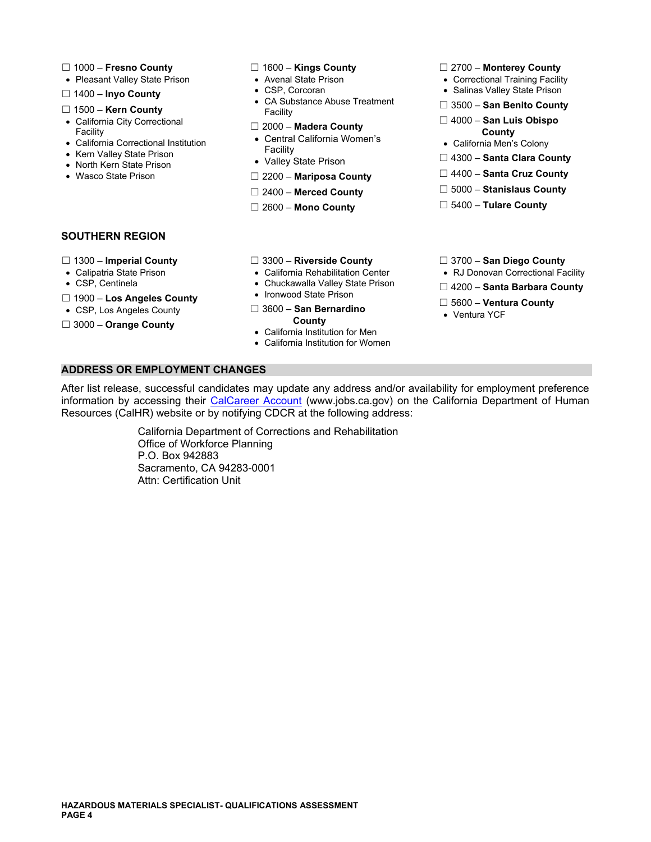- 
- 
- 
- 
- California City Correctional <br>
Facility Correctional **□ 2000 Madera County Department County**<br>
County **County Activity and County Activity Activity County**
- 
- 
- 
- 

- 
- 
- □ 1400 **Inyo County** <br>
CA Substance Abuse Treatment <br>
CA Substance Abuse Treatment ☐ CA Substance Abuse Treatment ☐ 3500 – **San Benito County** 1500 – **Kern County** Facility
	-
- Central California Women's California Correctional Institution California Men's Colony
	-
- Wasco State Prison **□ 2200 Mariposa County** 
	-
	-
- ☐ 1000 **Fresno County** ☐ 1600 **Kings County** ☐ 2700 **Monterey County**
- Pleasant Valley State Prison Avenal State Prison Correctional Training Facility
	-
	-
	-
	-
- Facility Kern Valley State Prison **Facility Community Community Community** Kern Valley State Prison Valley State Prison North Kern State Prison Valley State Prison Valley State Prison North Interval 2200 Sant
	-
	- ☐ 2400 **Merced County** ☐ 5000 **Stanislaus County**
	- ☐ 2600 **Mono County** ☐ 5400 **Tulare County**

# **SOUTHERN REGION**

- 
- 
- 
- 
- 
- 

- Calipatria State Prison California Rehabilitation Center RJ Donovan Correctional Facility
	-
	-
- ☐ 1900 **Los Angeles Coun** Ironwood State Prison **ty**  ☐ 5600 **Ventura County**  CSP, Los Angeles County ☐ 3600 **San Bernardino**  Ventura YCF ☐ **County** 3000 – **Orange County**  California Institution for Men
	-
	- California Institution for Women
- ☐ 1300 **Imperial County** ☐ 3300 **Riverside County** ☐ 3700 **San Diego County** 
	-
- CSP, Centinela **COUNTY Chuckawalla Valley State Prison** □ 4200 **Santa Barbara County**<br>□ 1900 Los Angeles County Ironwood State Prison □ □ 5600 Venture County
	-
	-

# **ADDRESS OR EMPLOYMENT CHANGES**

After list release, successful candidates may update any address and/or availability for employment preference information by accessing their [CalCareer Account](https://www.jobs.ca.gov/) [\(www.jobs.ca.gov](www.jobs.ca.gov)) on the California Department of Human Resources (CalHR) website or by notifying CDCR at the following address:

> California Department of Corrections and Rehabilitation Office of Workforce Planning P.O. Box 942883 Sacramento, CA 94283-0001 Attn: Certification Unit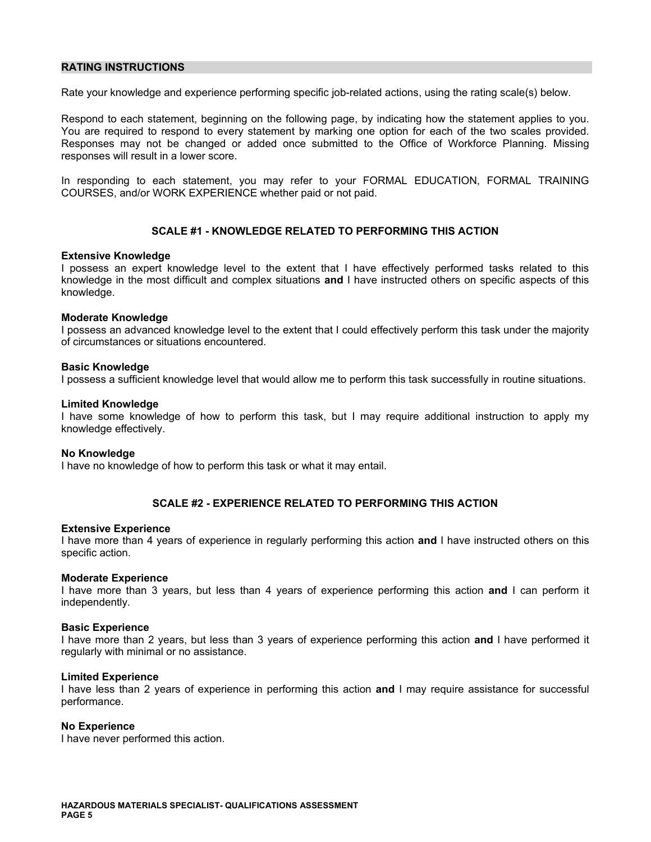## **RATING INSTRUCTIONS**

Rate your knowledge and experience performing specific job-related actions, using the rating scale(s) below.

Respond to each statement, beginning on the following page, by indicating how the statement applies to you. You are required to respond to every statement by marking one option for each of the two scales provided. Responses may not be changed or added once submitted to the Office of Workforce Planning. Missing responses will result in a lower score.

In responding to each statement, you may refer to your FORMAL EDUCATION, FORMAL TRAINING COURSES, and/or WORK EXPERIENCE whether paid or not paid.

# **SCALE #1 - KNOWLEDGE RELATED TO PERFORMING THIS ACTION**

#### **Extensive Knowledge**

I possess an expert knowledge level to the extent that I have effectively performed tasks related to this knowledge in the most difficult and complex situations **and** I have instructed others on specific aspects of this knowledge.

#### **Moderate Knowledge**

I possess an advanced knowledge level to the extent that I could effectively perform this task under the majority of circumstances or situations encountered.

#### **Basic Knowledge**

I possess a sufficient knowledge level that would allow me to perform this task successfully in routine situations.

#### **Limited Knowledge**

I have some knowledge of how to perform this task, but I may require additional instruction to apply my knowledge effectively.

#### **No Knowledge**

I have no knowledge of how to perform this task or what it may entail.

# **SCALE #2 - EXPERIENCE RELATED TO PERFORMING THIS ACTION**

#### **Extensive Experience**

I have more than 4 years of experience in regularly performing this action **and** I have instructed others on this specific action.

### **Moderate Experience**

I have more than 3 years, but less than 4 years of experience performing this action **and** I can perform it independently.

#### **Basic Experience**

I have more than 2 years, but less than 3 years of experience performing this action **and** I have performed it regularly with minimal or no assistance.

### **Limited Experience**

I have less than 2 years of experience in performing this action **and** I may require assistance for successful performance.

### **No Experience**

I have never performed this action.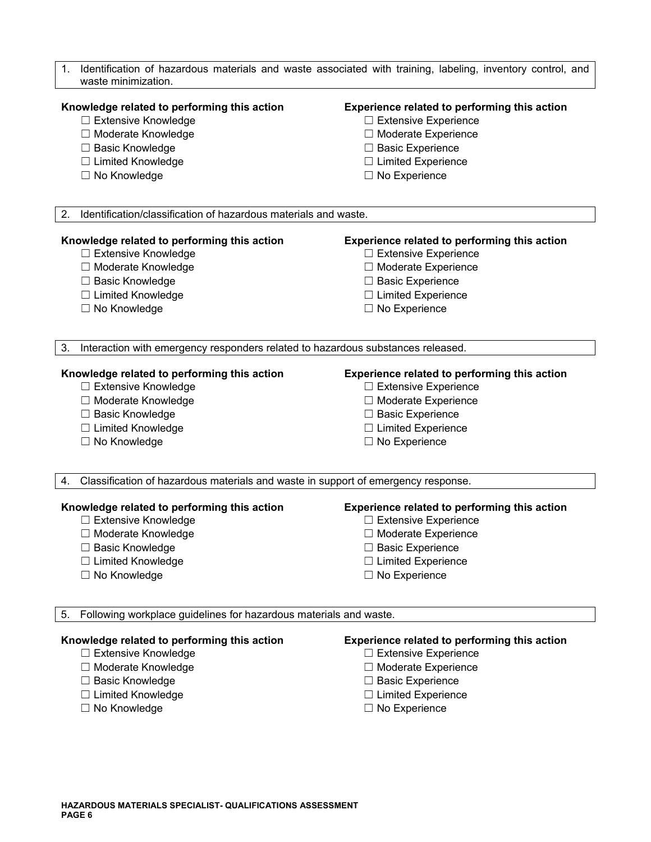| Identification of hazardous materials and waste associated with training, labeling, inventory control, and<br>1.<br>waste minimization. |                                              |
|-----------------------------------------------------------------------------------------------------------------------------------------|----------------------------------------------|
| Knowledge related to performing this action                                                                                             | Experience related to performing this action |
| $\Box$ Extensive Knowledge                                                                                                              | $\Box$ Extensive Experience                  |
| □ Moderate Knowledge                                                                                                                    | □ Moderate Experience                        |
| □ Basic Knowledge                                                                                                                       | $\Box$ Basic Experience                      |
| □ Limited Knowledge                                                                                                                     | $\Box$ Limited Experience                    |
| □ No Knowledge                                                                                                                          | $\Box$ No Experience                         |
| Identification/classification of hazardous materials and waste.<br>2.                                                                   |                                              |
| Knowledge related to performing this action                                                                                             | Experience related to performing this action |
| □ Extensive Knowledge                                                                                                                   | $\Box$ Extensive Experience                  |
| □ Moderate Knowledge                                                                                                                    | □ Moderate Experience                        |
| □ Basic Knowledge                                                                                                                       | $\Box$ Basic Experience                      |
| □ Limited Knowledge                                                                                                                     | $\Box$ Limited Experience                    |
| □ No Knowledge                                                                                                                          | $\Box$ No Experience                         |
| Interaction with emergency responders related to hazardous substances released.<br>3.                                                   |                                              |
| Knowledge related to performing this action                                                                                             | Experience related to performing this action |
| □ Extensive Knowledge                                                                                                                   | $\Box$ Extensive Experience                  |
| □ Moderate Knowledge                                                                                                                    | □ Moderate Experience                        |
| □ Basic Knowledge                                                                                                                       | □ Basic Experience                           |
| □ Limited Knowledge                                                                                                                     | $\Box$ Limited Experience                    |
| □ No Knowledge                                                                                                                          | $\Box$ No Experience                         |
| Classification of hazardous materials and waste in support of emergency response.<br>4.                                                 |                                              |
| Knowledge related to performing this action                                                                                             | Experience related to performing this action |
| $\Box$ Extensive Knowledge                                                                                                              | $\Box$ Extensive Experience                  |
| □ Moderate Knowledge                                                                                                                    | □ Moderate Experience                        |
| □ Basic Knowledge                                                                                                                       | $\Box$ Basic Experience                      |
| □ Limited Knowledge                                                                                                                     | $\Box$ Limited Experience                    |
| $\Box$ No Knowledge                                                                                                                     | $\Box$ No Experience                         |
| Following workplace guidelines for hazardous materials and waste.<br>5.                                                                 |                                              |
| Knowledge related to performing this action                                                                                             | Experience related to performing this action |
| □ Extensive Knowledge                                                                                                                   | $\Box$ Extensive Experience                  |
| □ Moderate Knowledge                                                                                                                    | □ Moderate Experience                        |
| □ Basic Knowledge                                                                                                                       | $\Box$ Basic Experience                      |
| □ Limited Knowledge                                                                                                                     | $\Box$ Limited Experience                    |
| □ No Knowledge                                                                                                                          | $\Box$ No Experience                         |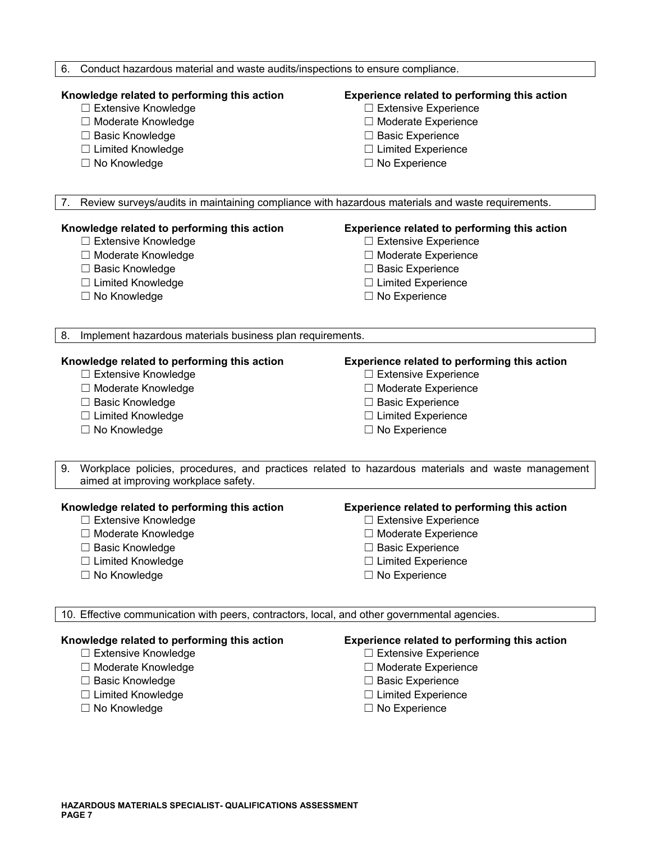### 6. Conduct hazardous material and waste audits/inspections to ensure compliance.

- 
- ☐ Moderate Knowledge ☐ Moderate Experience
- ☐ Basic Knowledge ☐ Basic Experience
- ☐ Limited Knowledge ☐ Limited Experience
- 

# **Knowledge related to performing this action Experience related to performing this action**

- ☐ Extensive Knowledge ☐ Extensive Experience
	-
	-
	-
- ☐ No Knowledge ☐ No Experience

7. Review surveys/audits in maintaining compliance with hazardous materials and waste requirements.

# **Knowledge related to performing this action Experience related to performing this action**

- 
- 
- 
- 
- 

- ☐ Extensive Knowledge ☐ Extensive Experience
- ☐ Moderate Knowledge ☐ Moderate Experience
- ☐ Basic Knowledge ☐ Basic Experience
- ☐ Limited Knowledge ☐ Limited Experience
- ☐ No Knowledge ☐ No Experience

8. Implement hazardous materials business plan requirements.

### **Knowledge related to performing this action Experience related to performing this action**

- 
- 
- 
- 
- ☐ No Knowledge ☐ No Experience

- ☐ Extensive Knowledge ☐ Extensive Experience
- ☐ Moderate Knowledge ☐ Moderate Experience
- ☐ Basic Knowledge ☐ Basic Experience
- ☐ Limited Knowledge ☐ Limited Experience
	-
- 9. Workplace policies, procedures, and practices related to hazardous materials and waste management aimed at improving workplace safety.

### **Knowledge related to performing this action Experience related to performing this action**

- ☐ Extensive Knowledge ☐ Extensive Experience
- ☐ Moderate Knowledge ☐ Moderate Experience
- 
- ☐ Limited Knowledge ☐ Limited Experience
- 

- 
- 
- ☐ Basic Knowledge ☐ Basic Experience
	-
- ☐ No Knowledge ☐ No Experience

10. Effective communication with peers, contractors, local, and other governmental agencies.

- 
- ☐ Moderate Knowledge ☐ Moderate Experience
- ☐ Basic Knowledge ☐ Basic Experience
- ☐ Limited Knowledge ☐ Limited Experience
- ☐ No Knowledge ☐ No Experience

# **Knowledge related to performing this action Experience related to performing this action**

- ☐ Extensive Knowledge ☐ Extensive Experience
	-
	-
	-
	-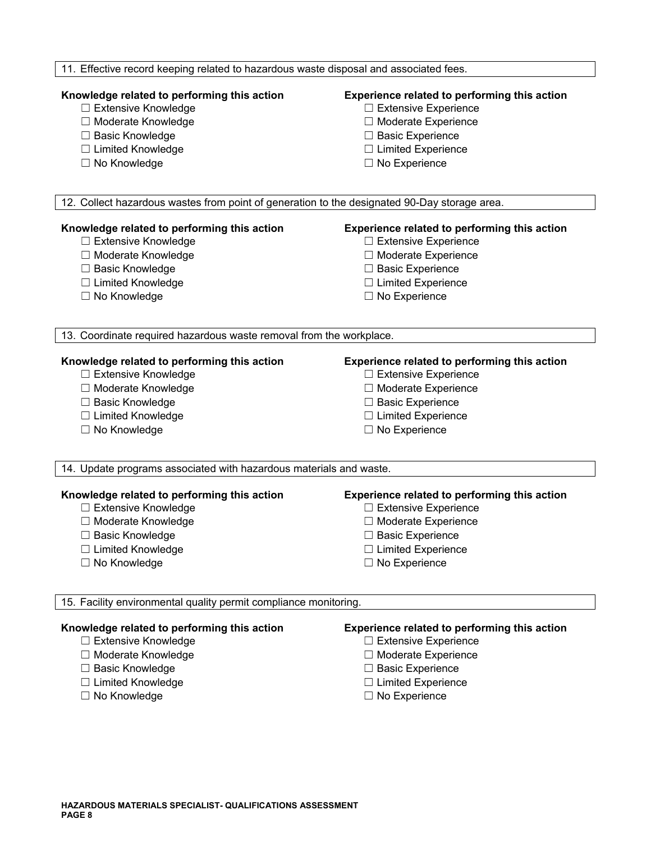### 11. Effective record keeping related to hazardous waste disposal and associated fees.

- ☐ Extensive Knowledge ☐ Extensive Experience
- ☐ Moderate Knowledge ☐ Moderate Experience
- ☐ Basic Knowledge ☐ Basic Experience
- ☐ Limited Knowledge ☐ Limited Experience
- ☐ No Knowledge ☐ No Experience

# **Knowledge related to performing this action Experience related to performing this action**

- 
- 
- 
- 
- 

12. Collect hazardous wastes from point of generation to the designated 90-Day storage area.

- 
- 
- 
- 
- 

# **Knowledge related to performing this action Experience related to performing this action**

- ☐ Extensive Knowledge ☐ Extensive Experience
- ☐ Moderate Knowledge ☐ Moderate Experience
- ☐ Basic Knowledge ☐ Basic Experience
- ☐ Limited Knowledge ☐ Limited Experience
- ☐ No Knowledge ☐ No Experience

13. Coordinate required hazardous waste removal from the workplace.

- 
- 
- 
- ☐ Limited Knowledge ☐ Limited Experience
- ☐ No Knowledge ☐ No Experience

### **Knowledge related to performing this action Experience related to performing this action**

- ☐ Extensive Knowledge ☐ Extensive Experience
- ☐ Moderate Knowledge ☐ Moderate Experience
- ☐ Basic Knowledge ☐ Basic Experience
	-
	-

14. Update programs associated with hazardous materials and waste.

# **Knowledge related to performing this action Experience related to performing this action**

- ☐ Extensive Knowledge ☐ Extensive Experience
- ☐ Moderate Knowledge ☐ Moderate Experience
- ☐ Basic Knowledge ☐ Basic Experience
- ☐ Limited Knowledge ☐ Limited Experience
- ☐ No Knowledge ☐ No Experience

- 
- 
- 
- 
- 

# 15. Facility environmental quality permit compliance monitoring.

# **Knowledge related to performing this action Experience related to performing this action**

- 
- ☐ Moderate Knowledge ☐ Moderate Experience
- 
- 
- 

- ☐ Extensive Knowledge ☐ Extensive Experience
	-
- ☐ Basic Knowledge ☐ Basic Experience
- ☐ Limited Knowledge ☐ Limited Experience
- ☐ No Knowledge ☐ No Experience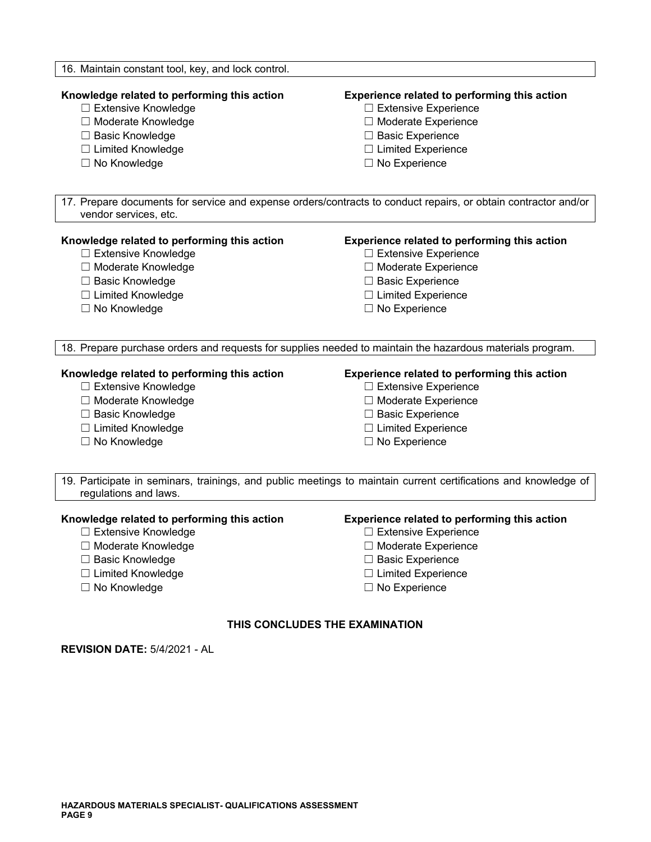| 16. Maintain constant tool, key, and lock control.                                                                                       |                                                                        |
|------------------------------------------------------------------------------------------------------------------------------------------|------------------------------------------------------------------------|
|                                                                                                                                          |                                                                        |
| Knowledge related to performing this action<br>□ Extensive Knowledge                                                                     | Experience related to performing this action<br>□ Extensive Experience |
| □ Moderate Knowledge                                                                                                                     | □ Moderate Experience                                                  |
| □ Basic Knowledge                                                                                                                        | □ Basic Experience                                                     |
| □ Limited Knowledge                                                                                                                      | $\Box$ Limited Experience                                              |
| $\Box$ No Knowledge                                                                                                                      | $\Box$ No Experience                                                   |
|                                                                                                                                          |                                                                        |
|                                                                                                                                          |                                                                        |
| 17. Prepare documents for service and expense orders/contracts to conduct repairs, or obtain contractor and/or<br>vendor services, etc.  |                                                                        |
| Knowledge related to performing this action                                                                                              | Experience related to performing this action                           |
| □ Extensive Knowledge                                                                                                                    | □ Extensive Experience                                                 |
| □ Moderate Knowledge                                                                                                                     | □ Moderate Experience                                                  |
| □ Basic Knowledge                                                                                                                        | $\Box$ Basic Experience                                                |
| □ Limited Knowledge                                                                                                                      | $\Box$ Limited Experience                                              |
| □ No Knowledge                                                                                                                           | $\Box$ No Experience                                                   |
|                                                                                                                                          |                                                                        |
|                                                                                                                                          |                                                                        |
| 18. Prepare purchase orders and requests for supplies needed to maintain the hazardous materials program.                                |                                                                        |
| Knowledge related to performing this action                                                                                              | Experience related to performing this action                           |
| □ Extensive Knowledge                                                                                                                    | □ Extensive Experience                                                 |
| □ Moderate Knowledge                                                                                                                     | □ Moderate Experience                                                  |
| □ Basic Knowledge                                                                                                                        | □ Basic Experience                                                     |
| □ Limited Knowledge                                                                                                                      | $\Box$ Limited Experience                                              |
| □ No Knowledge                                                                                                                           | $\Box$ No Experience                                                   |
|                                                                                                                                          |                                                                        |
|                                                                                                                                          |                                                                        |
| 19. Participate in seminars, trainings, and public meetings to maintain current certifications and knowledge of<br>regulations and laws. |                                                                        |
|                                                                                                                                          |                                                                        |
| Knowledge related to performing this action                                                                                              | Experience related to performing this action                           |
| □ Extensive Knowledge<br>□ Moderate Knowledge                                                                                            | $\Box$ Extensive Experience                                            |
|                                                                                                                                          | □ Moderate Experience                                                  |
| □ Basic Knowledge                                                                                                                        | $\Box$ Basic Experience                                                |
| □ Limited Knowledge                                                                                                                      | $\Box$ Limited Experience                                              |
| $\Box$ No Knowledge                                                                                                                      | $\Box$ No Experience                                                   |
|                                                                                                                                          |                                                                        |

# **THIS CONCLUDES THE EXAMINATION**

**REVISION DATE:** 5/4/2021 - AL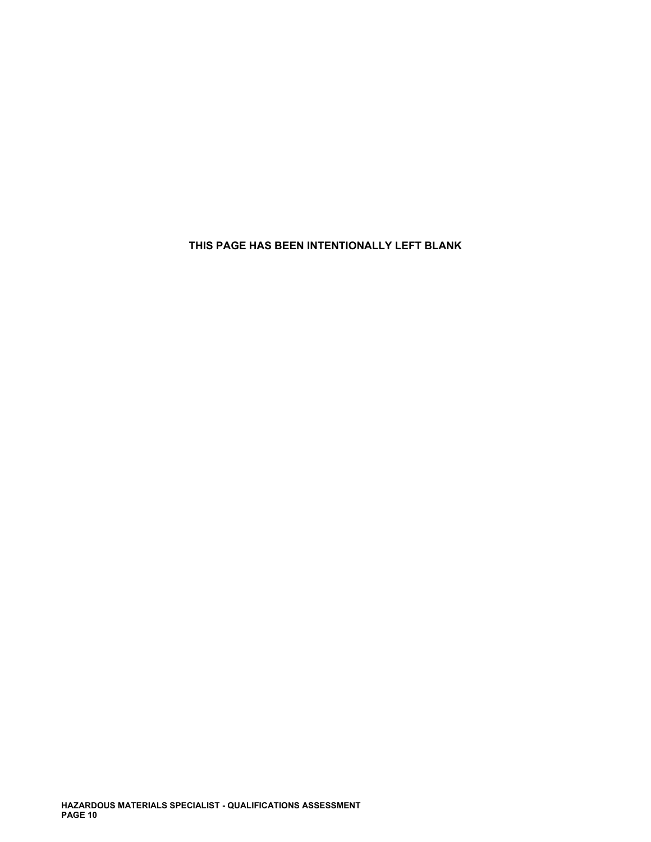**THIS PAGE HAS BEEN INTENTIONALLY LEFT BLANK**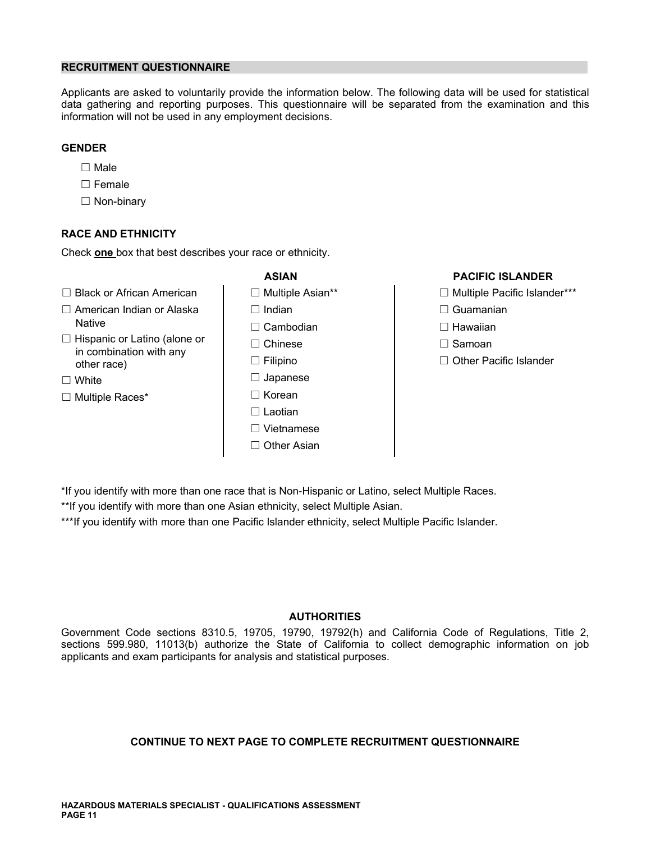# **RECRUITMENT QUESTIONNAIRE**

Applicants are asked to voluntarily provide the information below. The following data will be used for statistical data gathering and reporting purposes. This questionnaire will be separated from the examination and this information will not be used in any employment decisions.

# **GENDER**

- ☐ Male
- ☐ Female
- ☐ Non-binary

# **RACE AND ETHNICITY**

Check **one** box that best describes your race or ethnicity.

- ☐ Black or African American ☐ Multiple Asian\*\* ☐ Multiple Pacific Islander\*\*\*
- ☐ American Indian or Alaska ☐ Indian ☐ Guamanian Native ☐ Cambodian ☐ Hawaiian
- ☐ Hispanic or Latino (alone or ☐ Chinese ☐ Samoan in combination with any other race) ☐ Filipino ☐ Other Pacific Islander
- 
- ☐ Multiple Races\* ☐ Korean
- 
- 
- 
- 
- 
- ☐ White ☐ Japanese
	-
	- ☐ Laotian
	- ☐ Vietnamese
	- ☐ Other Asian

# **ASIAN PACIFIC ISLANDER**

- 
- 
- 
- 
- 

\*If you identify with more than one race that is Non-Hispanic or Latino, select Multiple Races.

\*\*If you identify with more than one Asian ethnicity, select Multiple Asian.

\*\*\*If you identify with more than one Pacific Islander ethnicity, select Multiple Pacific Islander.

# **AUTHORITIES**

Government Code sections 8310.5, 19705, 19790, 19792(h) and California Code of Regulations, Title 2, sections 599.980, 11013(b) authorize the State of California to collect demographic information on job applicants and exam participants for analysis and statistical purposes.

# **CONTINUE TO NEXT PAGE TO COMPLETE RECRUITMENT QUESTIONNAIRE**